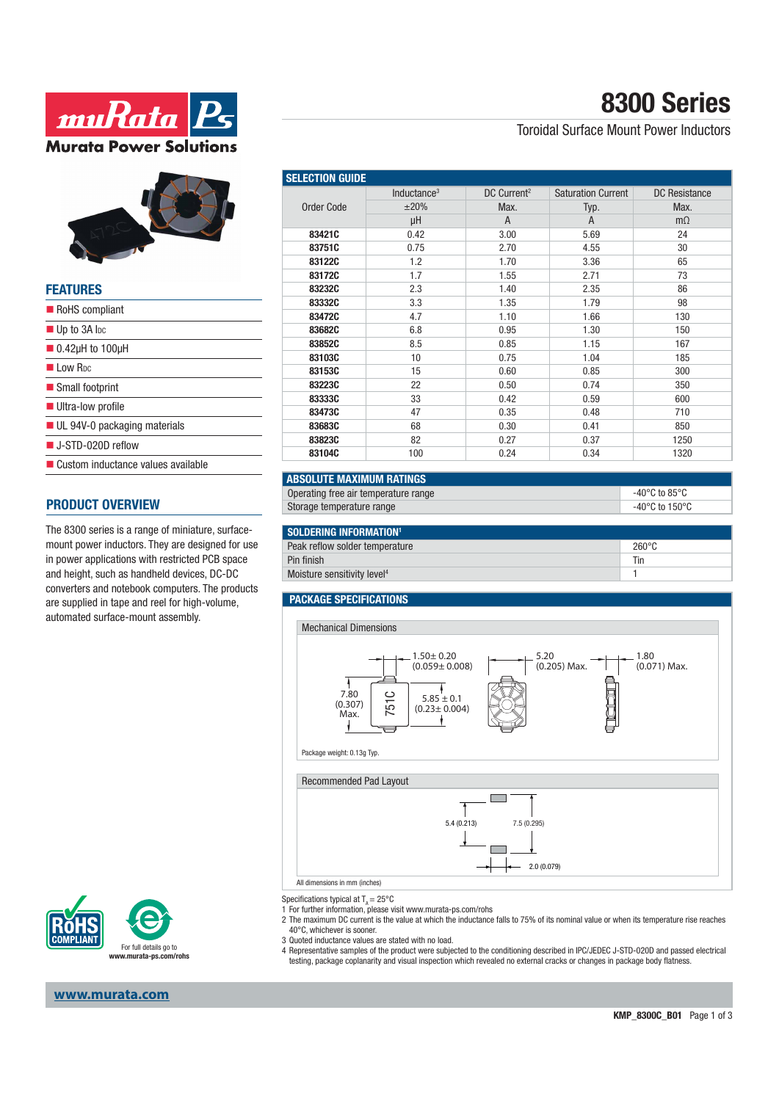



| <b>FEATURES</b>                                |
|------------------------------------------------|
| RoHS compliant                                 |
| $\blacksquare$ Up to 3A lpc                    |
| $\blacksquare$ 0.42 $\upmu$ H to 100 $\upmu$ H |
| Low Rpc                                        |
| Small footprint                                |
| <b>Ultra-low profile</b>                       |
| $\blacksquare$ UL 94V-0 packaging materials    |
| $\blacksquare$ J-STD-020D reflow               |
| ■ Custom inductance values available           |
|                                                |

#### **PRODUCT OVERVIEW**

The 8300 series is a range of miniature, surfacemount power inductors. They are designed for use in power applications with restricted PCB space and height, such as handheld devices, DC-DC converters and notebook computers. The products are supplied in tape and reel for high-volume, automated surface-mount assembly.



# **8300 Series**

### Toroidal Surface Mount Power Inductors

| <b>SELECTION GUIDE</b> |                         |                         |                           |                      |
|------------------------|-------------------------|-------------------------|---------------------------|----------------------|
|                        | Inductance <sup>3</sup> | DC Current <sup>2</sup> | <b>Saturation Current</b> | <b>DC</b> Resistance |
| Order Code             | $\pm 20\%$              | Max.                    | Typ.                      | Max.                 |
|                        | μH                      | $\overline{A}$          | $\overline{A}$            | $m\Omega$            |
| 83421C                 | 0.42                    | 3.00                    | 5.69                      | 24                   |
| 83751C                 | 0.75                    | 2.70                    | 4.55                      | 30                   |
| 83122C                 | 1.2                     | 1.70                    | 3.36                      | 65                   |
| 83172C                 | 1.7                     | 1.55                    | 2.71                      | 73                   |
| 83232C                 | 2.3                     | 1.40                    | 2.35                      | 86                   |
| 83332C                 | 3.3                     | 1.35                    | 1.79                      | 98                   |
| 83472C                 | 4.7                     | 1.10                    | 1.66                      | 130                  |
| 83682C                 | 6.8                     | 0.95                    | 1.30                      | 150                  |
| 83852C                 | 8.5                     | 0.85                    | 1.15                      | 167                  |
| 83103C                 | 10                      | 0.75                    | 1.04                      | 185                  |
| 83153C                 | 15                      | 0.60                    | 0.85                      | 300                  |
| 83223C                 | 22                      | 0.50                    | 0.74                      | 350                  |
| 83333C                 | 33                      | 0.42                    | 0.59                      | 600                  |
| 83473C                 | 47                      | 0.35                    | 0.48                      | 710                  |
| 83683C                 | 68                      | 0.30                    | 0.41                      | 850                  |
| 83823C                 | 82                      | 0.27                    | 0.37                      | 1250                 |
| 83104C                 | 100                     | 0.24                    | 0.34                      | 1320                 |

### **ABSOLUTE MAXIMUM RATINGS**

| Operating free air temperature range | -40°C to 85°C  |
|--------------------------------------|----------------|
| Storage temperature range            | -40°C to 150°C |
|                                      |                |

| SOLDERING INFORMATION <sup>1</sup>      |                 |
|-----------------------------------------|-----------------|
| Peak reflow solder temperature          | $260^{\circ}$ C |
| Pin finish                              | Tir             |
| Moisture sensitivity level <sup>4</sup> |                 |

### **PACKAGE SPECIFICATIONS**



Specifications typical at  $T_a = 25^{\circ}$ C

For further information, please visit www.murata-ps.com/rohs

- 2 The maximum DC current is the value at which the inductance falls to 75% of its nominal value or when its temperature rise reaches 40°C, whichever is sooner.
- 3 Quoted inductance values are stated with no load.
- 4 Representative samples of the product were subjected to the conditioning described in IPC/JEDEC J-STD-020D and passed electrical testing, package coplanarity and visual inspection which revealed no external cracks or changes in package body flatness.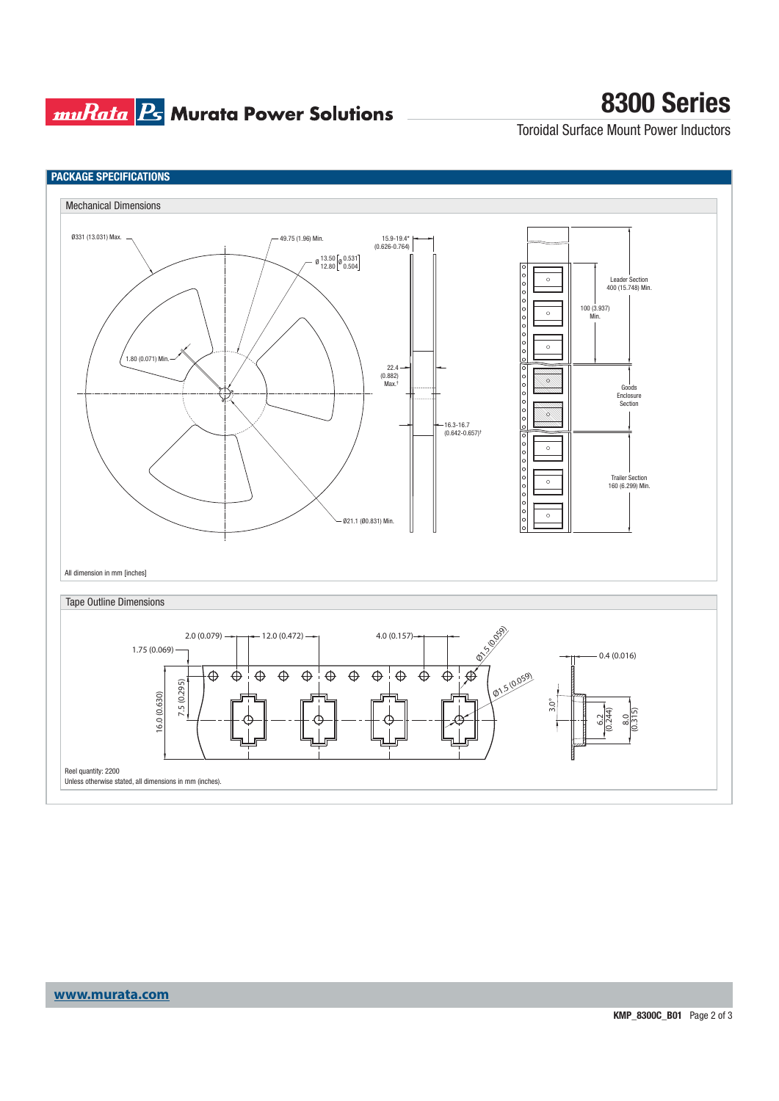## **muRata Ps** Murata Power Solutions

## **8300 Series**

Toroidal Surface Mount Power Inductors